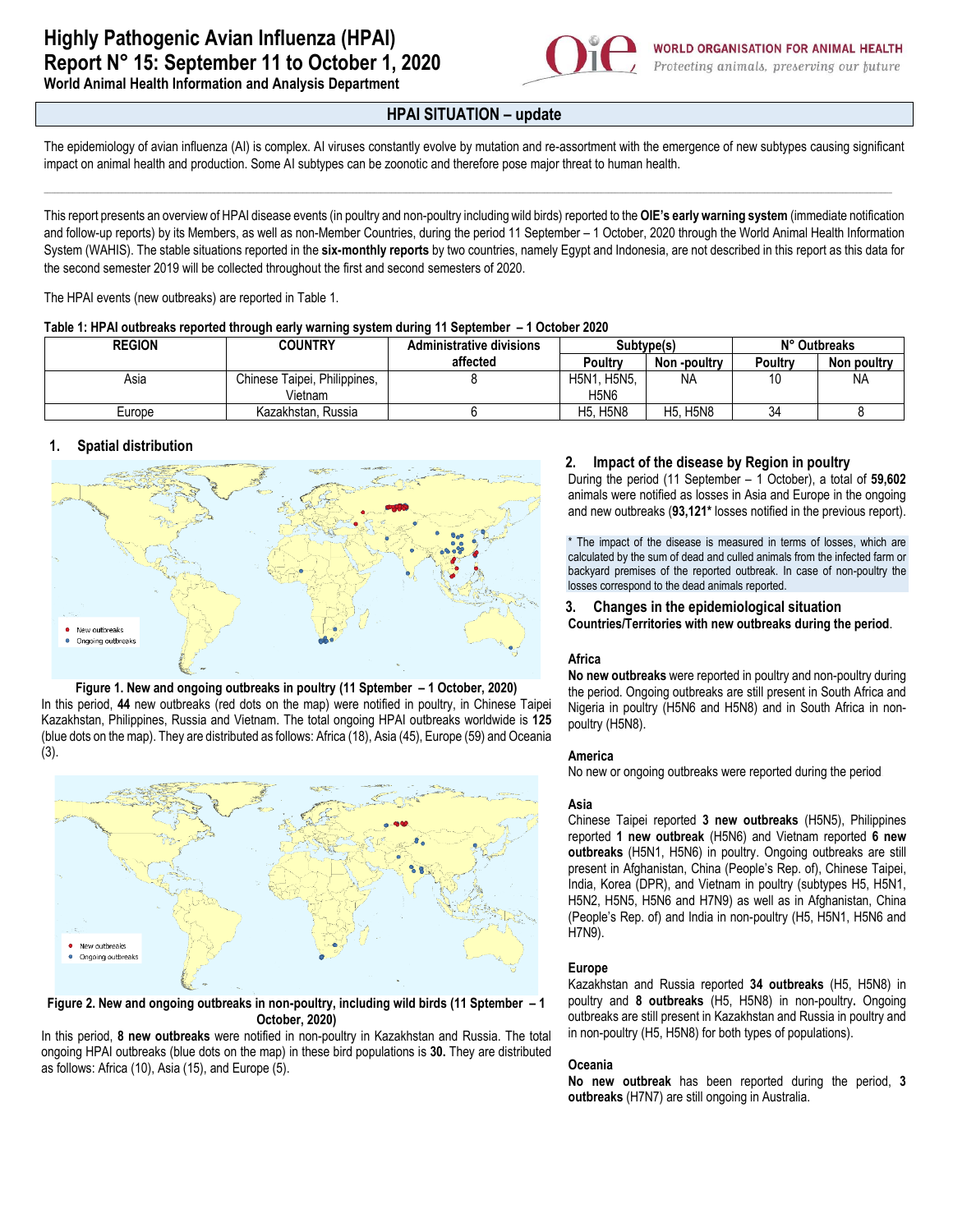

**World Animal Health Information and Analysis Department**

# **HPAI SITUATION – update**

The epidemiology of avian influenza (AI) is complex. AI viruses constantly evolve by mutation and re-assortment with the emergence of new subtypes causing significant impact on animal health and production. Some AI subtypes can be zoonotic and therefore pose major threat to human health.

\_\_\_\_\_\_\_\_\_\_\_\_\_\_\_\_\_\_\_\_\_\_\_\_\_\_\_\_\_\_\_\_\_\_\_\_\_\_\_\_\_\_\_\_\_\_\_\_\_\_\_\_\_\_\_\_\_\_\_\_\_\_\_\_\_\_\_\_\_\_\_\_\_\_\_\_\_\_\_\_\_\_\_\_\_\_\_\_\_\_\_\_\_\_\_\_\_\_\_\_\_\_\_\_\_\_\_\_\_\_\_\_\_\_\_\_\_\_\_\_\_\_\_\_\_\_\_\_\_\_\_\_\_\_\_\_\_\_\_\_\_\_\_\_\_\_\_\_\_\_\_\_\_\_\_\_\_\_\_\_\_\_\_\_\_\_\_\_\_\_\_\_\_\_\_\_\_\_\_\_\_\_\_\_\_\_\_\_\_\_\_\_\_\_\_\_\_\_\_\_\_\_\_\_\_\_\_\_\_\_\_\_\_\_\_\_\_\_\_\_\_\_\_\_\_\_\_\_\_\_\_\_\_\_\_\_\_\_\_

This report presents an overview of HPAI disease events (in poultry and non-poultry including wild birds) reported to the **OIE's early warning system** (immediate notification and follow-up reports) by its Members, as well as non-Member Countries, during the period 11 September – 1 October, 2020 through the World Animal Health Information System (WAHIS). The stable situations reported in the **six-monthly reports** by two countries, namely Egypt and Indonesia, are not described in this report as this data for the second semester 2019 will be collected throughout the first and second semesters of 2020.

The HPAI events (new outbreaks) are reported in Table 1.

| Table 1: HPAI outbreaks reported through early warning system during 11 September - 1 October 2020 |
|----------------------------------------------------------------------------------------------------|
|----------------------------------------------------------------------------------------------------|

| <b>REGION</b> | <b>COUNTRY</b>               | <b>Administrative divisions</b> | Subtype(s)      |                                 | N° Outbreaks |             |
|---------------|------------------------------|---------------------------------|-----------------|---------------------------------|--------------|-------------|
|               |                              | affected                        | Poultry         | Non -poultry                    | Poultry      | Non poultry |
| Asia          | Chinese Taipei, Philippines, |                                 | H5N1, H5N5,     | <b>NA</b>                       | 10           | <b>NA</b>   |
|               | Vietnam                      |                                 | <b>H5N6</b>     |                                 |              |             |
| Europe        | Kazakhstan, Russia           |                                 | <b>H5. H5N8</b> | <b>H5N8</b><br>H <sub>5</sub> . | 34           |             |

## **1. Spatial distribution**

(3).



#### **Figure 1. New and ongoing outbreaks in poultry (11 Sptember – 1 October, 2020)** In this period, **44** new outbreaks (red dots on the map) were notified in poultry, in Chinese Taipei Kazakhstan, Philippines, Russia and Vietnam. The total ongoing HPAI outbreaks worldwide is **125** (blue dots on the map). They are distributed as follows: Africa (18), Asia (45), Europe (59) and Oceania



**Figure 2. New and ongoing outbreaks in non-poultry, including wild birds (11 Sptember – 1 October, 2020)**

In this period, **8 new outbreaks** were notified in non-poultry in Kazakhstan and Russia. The total ongoing HPAI outbreaks (blue dots on the map) in these bird populations is **30.** They are distributed as follows: Africa (10), Asia (15), and Europe (5).

## **2. Impact of the disease by Region in poultry**

During the period (11 September – 1 October), a total of **59,602** animals were notified as losses in Asia and Europe in the ongoing and new outbreaks (**93,121\*** losses notified in the previous report).

\* The impact of the disease is measured in terms of losses, which are calculated by the sum of dead and culled animals from the infected farm or backyard premises of the reported outbreak. In case of non-poultry the losses correspond to the dead animals reported.

**3. Changes in the epidemiological situation Countries/Territories with new outbreaks during the period**.

## **Africa**

**No new outbreaks** were reported in poultry and non-poultry during the period. Ongoing outbreaks are still present in South Africa and Nigeria in poultry (H5N6 and H5N8) and in South Africa in nonpoultry (H5N8).

#### **America**

No new or ongoing outbreaks were reported during the period.

#### **Asia**

Chinese Taipei reported **3 new outbreaks** (H5N5), Philippines reported **1 new outbreak** (H5N6) and Vietnam reported **6 new outbreaks** (H5N1, H5N6) in poultry. Ongoing outbreaks are still present in Afghanistan, China (People's Rep. of), Chinese Taipei, India, Korea (DPR), and Vietnam in poultry (subtypes H5, H5N1, H5N2, H5N5, H5N6 and H7N9) as well as in Afghanistan, China (People's Rep. of) and India in non-poultry (H5, H5N1, H5N6 and H7N9).

#### **Europe**

Kazakhstan and Russia reported **34 outbreaks** (H5, H5N8) in poultry and **8 outbreaks** (H5, H5N8) in non-poultry**.** Ongoing outbreaks are still present in Kazakhstan and Russia in poultry and in non-poultry (H5, H5N8) for both types of populations).

## **Oceania**

**No new outbreak** has been reported during the period, **3 outbreaks** (H7N7) are still ongoing in Australia.